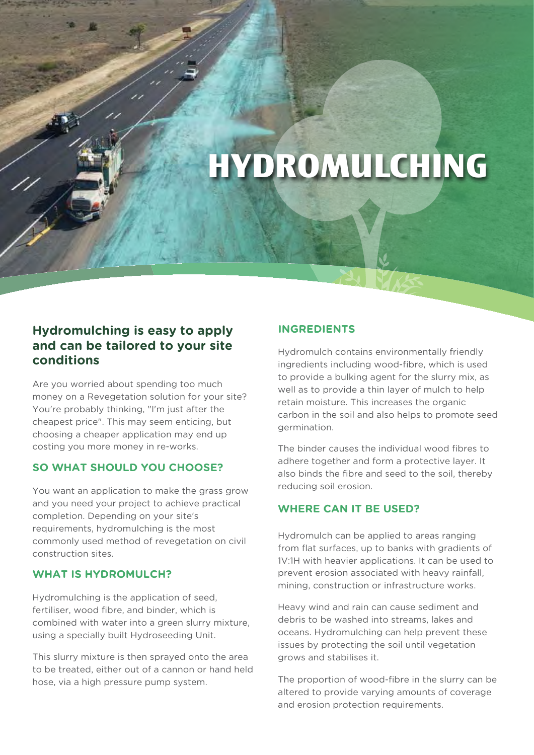# **HYDROMULCHING**

## **Hydromulching is easy to apply and can be tailored to your site conditions**

Are you worried about spending too much money on a Revegetation solution for your site? You're probably thinking, "I'm just after the cheapest price". This may seem enticing, but choosing a cheaper application may end up costing you more money in re-works.

### **SO WHAT SHOULD YOU CHOOSE?**

You want an application to make the grass grow and you need your project to achieve practical completion. Depending on your site's requirements, hydromulching is the most commonly used method of revegetation on civil construction sites.

#### **WHAT IS HYDROMULCH?**

Hydromulching is the application of seed, fertiliser, wood fibre, and binder, which is combined with water into a green slurry mixture, using a specially built Hydroseeding Unit.

This slurry mixture is then sprayed onto the area to be treated, either out of a cannon or hand held hose, via a high pressure pump system.

### **INGREDIENTS**

Hydromulch contains environmentally friendly ingredients including wood-fibre, which is used to provide a bulking agent for the slurry mix, as well as to provide a thin layer of mulch to help retain moisture. This increases the organic carbon in the soil and also helps to promote seed germination.

The binder causes the individual wood fibres to adhere together and form a protective layer. It also binds the fibre and seed to the soil, thereby reducing soil erosion.

## **WHERE CAN IT BE USED?**

Hydromulch can be applied to areas ranging from flat surfaces, up to banks with gradients of 1V:1H with heavier applications. It can be used to prevent erosion associated with heavy rainfall, mining, construction or infrastructure works.

Heavy wind and rain can cause sediment and debris to be washed into streams, lakes and oceans. Hydromulching can help prevent these issues by protecting the soil until vegetation grows and stabilises it.

The proportion of wood-fibre in the slurry can be altered to provide varying amounts of coverage and erosion protection requirements.